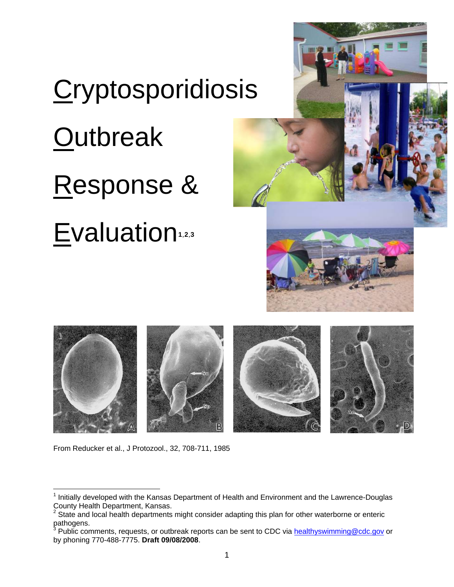# **Cryptosporidiosis Outbreak** Response & Evaluation**[1](#page-0-0)**,**[2](#page-0-1)**,**[3](#page-0-2)**





From Reducker et al., J Protozool., 32, 708-711, 1985

 $\overline{a}$ 

<span id="page-0-0"></span><sup>&</sup>lt;sup>1</sup> Initially developed with the Kansas Department of Health and Environment and the Lawrence-Douglas County Health Department, Kansas.<br><sup>2</sup> State and local health departments might consider adapting this plan for other waterborne or enteric

<span id="page-0-1"></span>pathogens.<br><sup>3</sup> Dublie eem

<span id="page-0-2"></span>Public comments, requests, or outbreak reports can be sent to CDC via [healthyswimming@cdc.gov](mailto:healthyswimming@cdc.gov) or by phoning 770-488-7775. **Draft 09/08/2008**.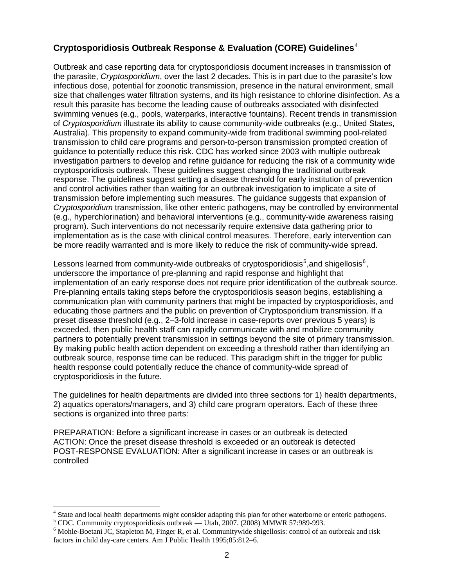# **Cryptosporidiosis Outbreak Response & Evaluation (CORE) Guidelines**[4](#page-1-0)

Outbreak and case reporting data for cryptosporidiosis document increases in transmission of the parasite, *Cryptosporidium*, over the last 2 decades. This is in part due to the parasite's low infectious dose, potential for zoonotic transmission, presence in the natural environment, small size that challenges water filtration systems, and its high resistance to chlorine disinfection. As a result this parasite has become the leading cause of outbreaks associated with disinfected swimming venues (e.g., pools, waterparks, interactive fountains). Recent trends in transmission of *Cryptosporidium* illustrate its ability to cause community-wide outbreaks (e.g., United States, Australia). This propensity to expand community-wide from traditional swimming pool-related transmission to child care programs and person-to-person transmission prompted creation of guidance to potentially reduce this risk. CDC has worked since 2003 with multiple outbreak investigation partners to develop and refine guidance for reducing the risk of a community wide cryptosporidiosis outbreak. These guidelines suggest changing the traditional outbreak response. The guidelines suggest setting a disease threshold for early institution of prevention and control activities rather than waiting for an outbreak investigation to implicate a site of transmission before implementing such measures. The guidance suggests that expansion of *Cryptosporidium* transmission, like other enteric pathogens, may be controlled by environmental (e.g., hyperchlorination) and behavioral interventions (e.g., community-wide awareness raising program). Such interventions do not necessarily require extensive data gathering prior to implementation as is the case with clinical control measures. Therefore, early intervention can be more readily warranted and is more likely to reduce the risk of community-wide spread.

Lessons learned from community-wide outbreaks of cryptosporidiosis<sup>[5](#page-1-1)</sup>, and shigellosis<sup>[6](#page-1-2)</sup>, underscore the importance of pre-planning and rapid response and highlight that implementation of an early response does not require prior identification of the outbreak source. Pre-planning entails taking steps before the cryptosporidiosis season begins, establishing a communication plan with community partners that might be impacted by cryptosporidiosis, and educating those partners and the public on prevention of Cryptosporidium transmission. If a preset disease threshold (e.g., 2–3-fold increase in case-reports over previous 5 years) is exceeded, then public health staff can rapidly communicate with and mobilize community partners to potentially prevent transmission in settings beyond the site of primary transmission. By making public health action dependent on exceeding a threshold rather than identifying an outbreak source, response time can be reduced. This paradigm shift in the trigger for public health response could potentially reduce the chance of community-wide spread of cryptosporidiosis in the future.

The guidelines for health departments are divided into three sections for 1) health departments, 2) aquatics operators/managers, and 3) child care program operators. Each of these three sections is organized into three parts:

PREPARATION: Before a significant increase in cases or an outbreak is detected ACTION: Once the preset disease threshold is exceeded or an outbreak is detected POST-RESPONSE EVALUATION: After a significant increase in cases or an outbreak is controlled

 $\overline{a}$ 

<span id="page-1-0"></span> $<sup>4</sup>$  State and local health departments might consider adapting this plan for other waterborne or enteric pathogens.</sup>

<span id="page-1-1"></span><sup>&</sup>lt;sup>5</sup> CDC. Community cryptosporidiosis outbreak — Utah, 2007. (2008) MMWR 57:989-993.

<span id="page-1-2"></span><sup>&</sup>lt;sup>6</sup> Mohle-Boetani JC, Stapleton M, Finger R, et al. Communitywide shigellosis: control of an outbreak and risk factors in child day-care centers. Am J Public Health 1995;85:812–6.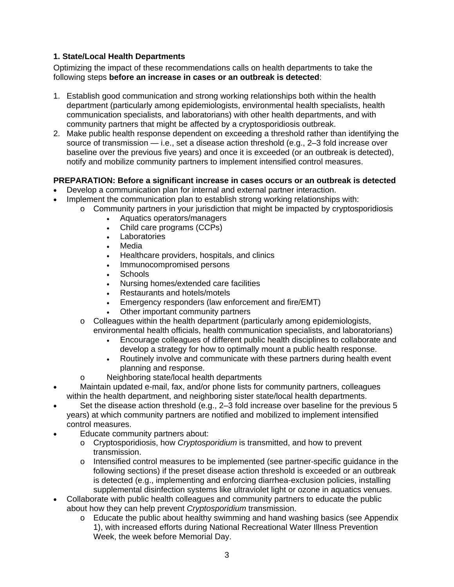# **1. State/Local Health Departments**

Optimizing the impact of these recommendations calls on health departments to take the following steps **before an increase in cases or an outbreak is detected**:

- 1. Establish good communication and strong working relationships both within the health department (particularly among epidemiologists, environmental health specialists, health communication specialists, and laboratorians) with other health departments, and with community partners that might be affected by a cryptosporidiosis outbreak.
- 2. Make public health response dependent on exceeding a threshold rather than identifying the source of transmission — i.e., set a disease action threshold (e.g., 2–3 fold increase over baseline over the previous five years) and once it is exceeded (or an outbreak is detected), notify and mobilize community partners to implement intensified control measures.

# **PREPARATION: Before a significant increase in cases occurs or an outbreak is detected**

- Develop a communication plan for internal and external partner interaction.
- Implement the communication plan to establish strong working relationships with:
	- $\circ$  Community partners in your jurisdiction that might be impacted by cryptosporidiosis
		- Aquatics operators/managers
		- Child care programs (CCPs)
		- Laboratories
		- Media
		- Healthcare providers, hospitals, and clinics
		- Immunocompromised persons
		- Schools
		- Nursing homes/extended care facilities
		- Restaurants and hotels/motels
		- Emergency responders (law enforcement and fire/EMT)
		- Other important community partners
	- $\circ$  Colleagues within the health department (particularly among epidemiologists, environmental health officials, health communication specialists, and laboratorians)
		- Encourage colleagues of different public health disciplines to collaborate and develop a strategy for how to optimally mount a public health response.
		- Routinely involve and communicate with these partners during health event planning and response.
	- o Neighboring state/local health departments
- Maintain updated e-mail, fax, and/or phone lists for community partners, colleagues within the health department, and neighboring sister state/local health departments.
- Set the disease action threshold (e.g., 2–3 fold increase over baseline for the previous 5 years) at which community partners are notified and mobilized to implement intensified control measures.
- Educate community partners about:
	- o Cryptosporidiosis, how *Cryptosporidium* is transmitted, and how to prevent transmission.
	- o Intensified control measures to be implemented (see partner-specific guidance in the following sections) if the preset disease action threshold is exceeded or an outbreak is detected (e.g., implementing and enforcing diarrhea-exclusion policies, installing supplemental disinfection systems like ultraviolet light or ozone in aquatics venues.
- Collaborate with public health colleagues and community partners to educate the public about how they can help prevent *Cryptosporidium* transmission.
	- o Educate the public about healthy swimming and hand washing basics (see Appendix 1), with increased efforts during National Recreational Water Illness Prevention Week, the week before Memorial Day.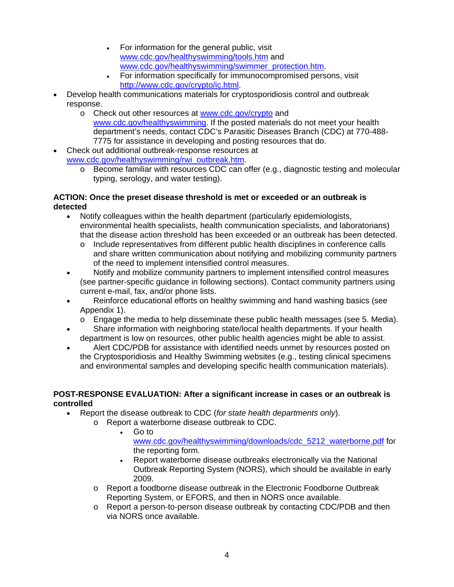- For information for the general public, visit [www.cdc.gov/healthyswimming/tools.htm](http://www.cdc.gov/healthyswimming/tools.htm) and [www.cdc.gov/healthyswimming/swimmer\\_protection.htm](http://www.cdc.gov/healthyswimming/swimmer_protection.htm).
- For information specifically for immunocompromised persons, visit <http://www.cdc.gov/crypto/ic.html>.
- Develop health communications materials for cryptosporidiosis control and outbreak response.
	- o Check out other resources at [www.cdc.gov/crypto](http://www.cdc.gov/crypto) and [www.cdc.gov/healthyswimming](http://www.cdc.gov/healthyswimming). If the posted materials do not meet your health department's needs, contact CDC's Parasitic Diseases Branch (CDC) at 770-488- 7775 for assistance in developing and posting resources that do.
- Check out additional outbreak-response resources at [www.cdc.gov/healthyswimming/rwi\\_outbreak.htm.](http://www.cdc.gov/healthyswimming/rwi_outbreak.htm)
	- o Become familiar with resources CDC can offer (e.g., diagnostic testing and molecular typing, serology, and water testing).

## **ACTION: Once the preset disease threshold is met or exceeded or an outbreak is detected**

- Notify colleagues within the health department (particularly epidemiologists, environmental health specialists, health communication specialists, and laboratorians) that the disease action threshold has been exceeded or an outbreak has been detected.
	- o Include representatives from different public health disciplines in conference calls and share written communication about notifying and mobilizing community partners of the need to implement intensified control measures.
- Notify and mobilize community partners to implement intensified control measures (see partner-specific guidance in following sections). Contact community partners using current e-mail, fax, and/or phone lists.
- Reinforce educational efforts on healthy swimming and hand washing basics (see Appendix 1).
	- $\circ$  Engage the media to help disseminate these public health messages (see 5. Media).
- Share information with neighboring state/local health departments. If your health department is low on resources, other public health agencies might be able to assist.
- Alert CDC/PDB for assistance with identified needs unmet by resources posted on the Cryptosporidiosis and Healthy Swimming websites (e.g., testing clinical specimens and environmental samples and developing specific health communication materials).

# **POST-RESPONSE EVALUATION: After a significant increase in cases or an outbreak is controlled**

- Report the disease outbreak to CDC (*for state health departments only*).
	- o Report a waterborne disease outbreak to CDC.
		- Go to [www.cdc.gov/healthyswimming/downloads/cdc\\_5212\\_waterborne.pdf](http://www.cdc.gov/healthyswimming/downloads/cdc_5212_waterborne.pdf) for the reporting form.
		- Report waterborne disease outbreaks electronically via the National Outbreak Reporting System (NORS), which should be available in early 2009.
		- o Report a foodborne disease outbreak in the Electronic Foodborne Outbreak Reporting System, or EFORS, and then in NORS once available.
		- o Report a person-to-person disease outbreak by contacting CDC/PDB and then via NORS once available.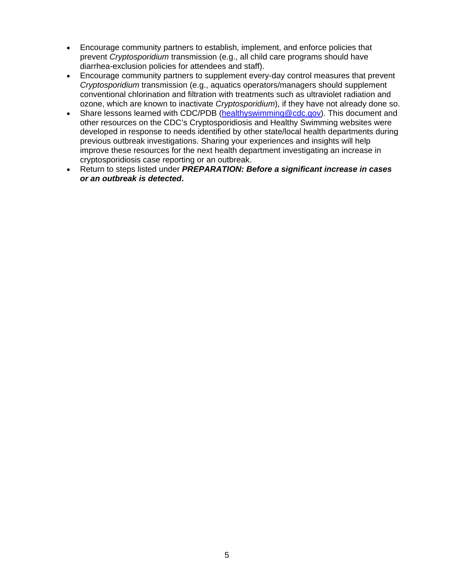- Encourage community partners to establish, implement, and enforce policies that prevent *Cryptosporidium* transmission (e.g., all child care programs should have diarrhea-exclusion policies for attendees and staff).
- Encourage community partners to supplement every-day control measures that prevent *Cryptosporidium* transmission (e.g., aquatics operators/managers should supplement conventional chlorination and filtration with treatments such as ultraviolet radiation and ozone, which are known to inactivate *Cryptosporidium*), if they have not already done so.
- Share lessons learned with CDC/PDB [\(healthyswimming@cdc.gov\)](mailto:healthyswimming@cdc.gov). This document and other resources on the CDC's Cryptosporidiosis and Healthy Swimming websites were developed in response to needs identified by other state/local health departments during previous outbreak investigations. Sharing your experiences and insights will help improve these resources for the next health department investigating an increase in cryptosporidiosis case reporting or an outbreak.
- Return to steps listed under *PREPARATION: Before a significant increase in cases or an outbreak is detected***.**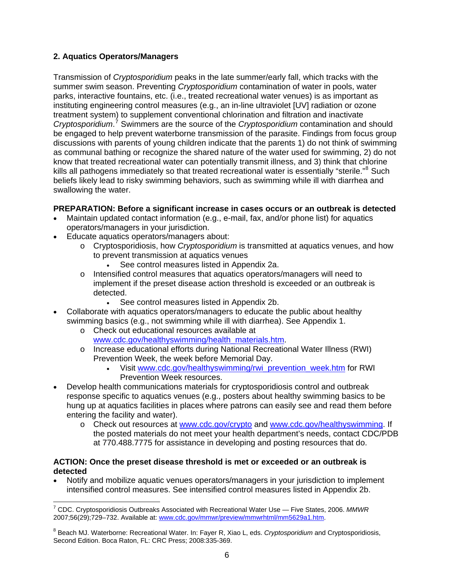## **2. Aquatics Operators/Managers**

Transmission of *Cryptosporidium* peaks in the late summer/early fall, which tracks with the summer swim season. Preventing *Cryptosporidium* contamination of water in pools, water parks, interactive fountains, etc. (i.e., treated recreational water venues) is as important as instituting engineering control measures (e.g., an in-line ultraviolet [UV] radiation or ozone treatment system) to supplement conventional chlorination and filtration and inactivate *Cryptosporidium*. [7](#page-5-0) Swimmers are the source of the *Cryptosporidium* contamination and should be engaged to help prevent waterborne transmission of the parasite. Findings from focus group discussions with parents of young children indicate that the parents 1) do not think of swimming as communal bathing or recognize the shared nature of the water used for swimming, 2) do not know that treated recreational water can potentially transmit illness, and 3) think that chlorine kills all pathogens immediately so that treated recreational water is essentially "sterile."<sup>[8](#page-5-1)</sup> Such beliefs likely lead to risky swimming behaviors, such as swimming while ill with diarrhea and swallowing the water.

## **PREPARATION: Before a significant increase in cases occurs or an outbreak is detected**

- Maintain updated contact information (e.g., e-mail, fax, and/or phone list) for aquatics operators/managers in your jurisdiction.
- Educate aquatics operators/managers about:
	- o Cryptosporidiosis, how *Cryptosporidium* is transmitted at aquatics venues, and how to prevent transmission at aquatics venues
		- See control measures listed in Appendix 2a.
	- o Intensified control measures that aquatics operators/managers will need to implement if the preset disease action threshold is exceeded or an outbreak is detected.
		- See control measures listed in Appendix 2b.
- Collaborate with aquatics operators/managers to educate the public about healthy swimming basics (e.g., not swimming while ill with diarrhea). See Appendix 1.
	- o Check out educational resources available at [www.cdc.gov/healthyswimming/health\\_materials.htm](http://www.cdc.gov/healthyswimming/health_materials.htm).
	- o Increase educational efforts during National Recreational Water Illness (RWI) Prevention Week, the week before Memorial Day.
		- Visit [www.cdc.gov/healthyswimming/rwi\\_prevention\\_week.htm](http://www.cdc.gov/healthyswimming/rwi_prevention_week.htm) for RWI Prevention Week resources.
- Develop health communications materials for cryptosporidiosis control and outbreak response specific to aquatics venues (e.g., posters about healthy swimming basics to be hung up at aquatics facilities in places where patrons can easily see and read them before entering the facility and water).
	- o Check out resources at [www.cdc.gov/crypto](http://www.cdc.gov/crypto) and [www.cdc.gov/healthyswimming.](http://www.cdc.gov/healthyswimming) If the posted materials do not meet your health department's needs, contact CDC/PDB at 770.488.7775 for assistance in developing and posting resources that do.

## **ACTION: Once the preset disease threshold is met or exceeded or an outbreak is detected**

• Notify and mobilize aquatic venues operators/managers in your jurisdiction to implement intensified control measures. See intensified control measures listed in Appendix 2b.

<span id="page-5-0"></span> 7 CDC. Cryptosporidiosis Outbreaks Associated with Recreational Water Use — Five States, 2006. *MMWR* 2007;56(29);729–732. Available at: [www.cdc.gov/mmwr/preview/mmwrhtml/mm5629a1.htm](http://www.cdc.gov/mmwr/preview/mmwrhtml/mm5629a1.htm).

<span id="page-5-1"></span><sup>8</sup> Beach MJ. Waterborne: Recreational Water. In: Fayer R, Xiao L, eds. *Cryptosporidium* and Cryptosporidiosis, Second Edition. Boca Raton, FL: CRC Press; 2008:335-369.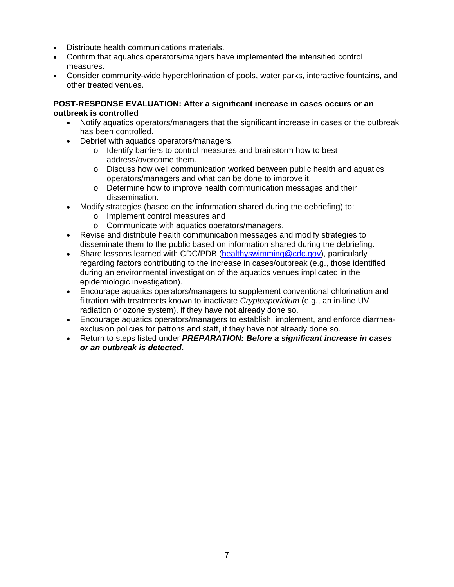- Distribute health communications materials.
- Confirm that aquatics operators/mangers have implemented the intensified control measures.
- Consider community-wide hyperchlorination of pools, water parks, interactive fountains, and other treated venues.

## **POST-RESPONSE EVALUATION: After a significant increase in cases occurs or an outbreak is controlled**

- Notify aquatics operators/managers that the significant increase in cases or the outbreak has been controlled.
- Debrief with aquatics operators/managers.
	- o Identify barriers to control measures and brainstorm how to best address/overcome them.
	- o Discuss how well communication worked between public health and aquatics operators/managers and what can be done to improve it.
	- o Determine how to improve health communication messages and their dissemination.
- Modify strategies (based on the information shared during the debriefing) to:
	- o Implement control measures and
	- o Communicate with aquatics operators/managers.
- Revise and distribute health communication messages and modify strategies to disseminate them to the public based on information shared during the debriefing.
- Share lessons learned with CDC/PDB (healthyswimming  $@{\rm cdc.}$ gov), particularly regarding factors contributing to the increase in cases/outbreak (e.g., those identified during an environmental investigation of the aquatics venues implicated in the epidemiologic investigation).
- Encourage aquatics operators/managers to supplement conventional chlorination and filtration with treatments known to inactivate *Cryptosporidium* (e.g., an in-line UV radiation or ozone system), if they have not already done so.
- Encourage aquatics operators/managers to establish, implement, and enforce diarrheaexclusion policies for patrons and staff, if they have not already done so.
- Return to steps listed under *PREPARATION: Before a significant increase in cases or an outbreak is detected***.**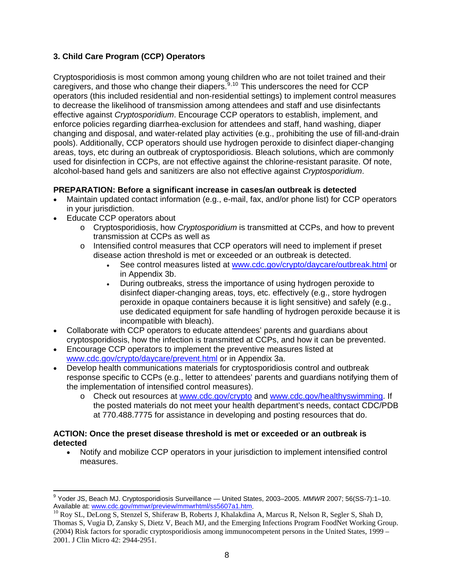# **3. Child Care Program (CCP) Operators**

Cryptosporidiosis is most common among young children who are not toilet trained and their caregivers, and those who change their diapers.<sup>[9](#page-7-0),[10](#page-7-1)</sup> This underscores the need for CCP operators (this included residential and non-residential settings) to implement control measures to decrease the likelihood of transmission among attendees and staff and use disinfectants effective against *Cryptosporidium*. Encourage CCP operators to establish, implement, and enforce policies regarding diarrhea-exclusion for attendees and staff, hand washing, diaper changing and disposal, and water-related play activities (e.g., prohibiting the use of fill-and-drain pools). Additionally, CCP operators should use hydrogen peroxide to disinfect diaper-changing areas, toys, etc during an outbreak of cryptosporidiosis. Bleach solutions, which are commonly used for disinfection in CCPs, are not effective against the chlorine-resistant parasite. Of note, alcohol-based hand gels and sanitizers are also not effective against *Cryptosporidium*.

## **PREPARATION: Before a significant increase in cases/an outbreak is detected**

- Maintain updated contact information (e.g., e-mail, fax, and/or phone list) for CCP operators in your jurisdiction.
- Educate CCP operators about
	- o Cryptosporidiosis, how *Cryptosporidium* is transmitted at CCPs, and how to prevent transmission at CCPs as well as
	- o Intensified control measures that CCP operators will need to implement if preset disease action threshold is met or exceeded or an outbreak is detected.
		- See control measures listed at [www.cdc.gov/crypto/daycare/outbreak.html](http://www.cdc.gov/crypto/daycare/outbreak.html) or in Appendix 3b.
		- During outbreaks, stress the importance of using hydrogen peroxide to disinfect diaper-changing areas, toys, etc. effectively (e.g., store hydrogen peroxide in opaque containers because it is light sensitive) and safely (e.g., use dedicated equipment for safe handling of hydrogen peroxide because it is incompatible with bleach).
- Collaborate with CCP operators to educate attendees' parents and guardians about cryptosporidiosis, how the infection is transmitted at CCPs, and how it can be prevented.
- Encourage CCP operators to implement the preventive measures listed at [www.cdc.gov/crypto/daycare/prevent.html](http://www.cdc.gov/crypto/daycare/prevent.html) or in Appendix 3a.
- Develop health communications materials for cryptosporidiosis control and outbreak response specific to CCPs (e.g., letter to attendees' parents and guardians notifying them of the implementation of intensified control measures).
	- o Check out resources at [www.cdc.gov/crypto](http://www.cdc.gov/crypto) and [www.cdc.gov/healthyswimming.](http://www.cdc.gov/healthyswimming) If the posted materials do not meet your health department's needs, contact CDC/PDB at 770.488.7775 for assistance in developing and posting resources that do.

## **ACTION: Once the preset disease threshold is met or exceeded or an outbreak is detected**

• Notify and mobilize CCP operators in your jurisdiction to implement intensified control measures.

<span id="page-7-0"></span> 9 Yoder JS, Beach MJ. Cryptosporidiosis Surveillance — United States, 2003–2005. *MMWR* 2007; 56(SS-7):1–10. Available at: [www.cdc.gov/mmwr/preview/mmwrhtml/ss5607a1.htm](http://www.cdc.gov/mmwr/preview/mmwrhtml/ss5607a1.htm).<br>
<sup>10</sup> Roy SL, DeLong S, Stenzel S, Shiferaw B, Roberts J, Khalakdina A, Marcus R, Nelson R, Segler S, Shah D,

<span id="page-7-1"></span>Thomas S, Vugia D, Zansky S, Dietz V, Beach MJ, and the Emerging Infections Program FoodNet Working Group. (2004) Risk factors for sporadic cryptosporidiosis among immunocompetent persons in the United States, 1999 – 2001. J Clin Micro 42: 2944-2951.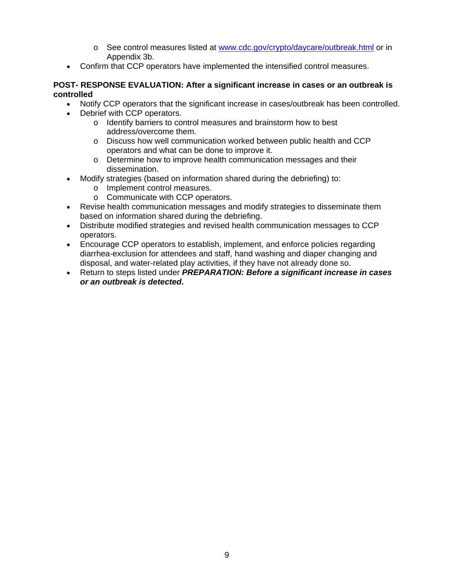- o See control measures listed at [www.cdc.gov/crypto/daycare/outbreak.html](http://www.cdc.gov/crypto/daycare/outbreak.html) or in Appendix 3b.
- Confirm that CCP operators have implemented the intensified control measures.

#### **POST- RESPONSE EVALUATION: After a significant increase in cases or an outbreak is controlled**

- Notify CCP operators that the significant increase in cases/outbreak has been controlled.
- Debrief with CCP operators.
	- o Identify barriers to control measures and brainstorm how to best address/overcome them.
	- o Discuss how well communication worked between public health and CCP operators and what can be done to improve it.
	- o Determine how to improve health communication messages and their dissemination.
- Modify strategies (based on information shared during the debriefing) to:
	- o Implement control measures.
	- o Communicate with CCP operators.
- Revise health communication messages and modify strategies to disseminate them based on information shared during the debriefing.
- Distribute modified strategies and revised health communication messages to CCP operators.
- Encourage CCP operators to establish, implement, and enforce policies regarding diarrhea-exclusion for attendees and staff, hand washing and diaper changing and disposal, and water-related play activities, if they have not already done so.
- Return to steps listed under *PREPARATION: Before a significant increase in cases or an outbreak is detected***.**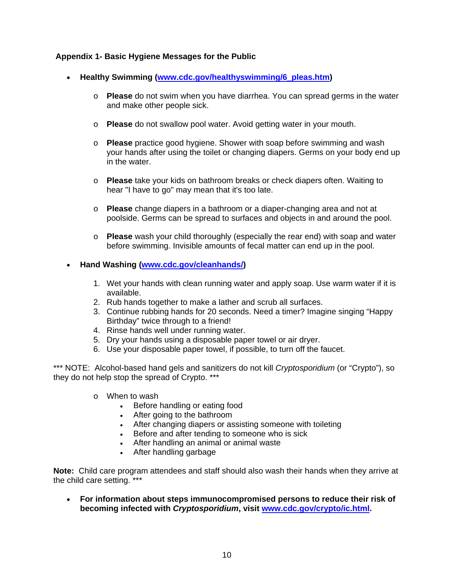## **Appendix 1- Basic Hygiene Messages for the Public**

- **Healthy Swimming ([www.cdc.gov/healthyswimming/6\\_pleas.htm\)](http://www.cdc.gov/healthyswimming/6_pleas.htm)** 
	- o **Please** do not swim when you have diarrhea. You can spread germs in the water and make other people sick.
	- o **Please** do not swallow pool water. Avoid getting water in your mouth.
	- o **Please** practice good hygiene. Shower with soap before swimming and wash your hands after using the toilet or changing diapers. Germs on your body end up in the water.
	- o **Please** take your kids on bathroom breaks or check diapers often. Waiting to hear "I have to go" may mean that it's too late.
	- o **Please** change diapers in a bathroom or a diaper-changing area and not at poolside. Germs can be spread to surfaces and objects in and around the pool.
	- o **Please** wash your child thoroughly (especially the rear end) with soap and water before swimming. Invisible amounts of fecal matter can end up in the pool.

# • **Hand Washing [\(www.cdc.gov/cleanhands/](http://www.cdc.gov/cleanhands/))**

- 1. Wet your hands with clean running water and apply soap. Use warm water if it is available.
- 2. Rub hands together to make a lather and scrub all surfaces.
- 3. Continue rubbing hands for 20 seconds. Need a timer? Imagine singing "Happy Birthday" twice through to a friend!
- 4. Rinse hands well under running water.
- 5. Dry your hands using a disposable paper towel or air dryer.
- 6. Use your disposable paper towel, if possible, to turn off the faucet.

\*\*\* NOTE: Alcohol-based hand gels and sanitizers do not kill *Cryptosporidium* (or "Crypto"), so they do not help stop the spread of Crypto. \*\*\*

- o When to wash
	- Before handling or eating food
	- After going to the bathroom
	- After changing diapers or assisting someone with toileting
	- Before and after tending to someone who is sick
	- After handling an animal or animal waste
	- After handling garbage

**Note:** Child care program attendees and staff should also wash their hands when they arrive at the child care setting. \*\*\*

• **For information about steps immunocompromised persons to reduce their risk of becoming infected with** *Cryptosporidium***, visit [www.cdc.gov/crypto/ic.html.](http://www.cdc.gov/crypto/ic.html)**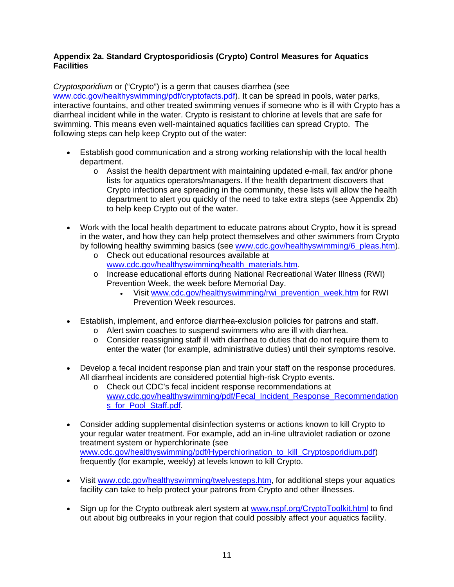## **Appendix 2a. Standard Cryptosporidiosis (Crypto) Control Measures for Aquatics Facilities**

*Cryptosporidium* or ("Crypto") is a germ that causes diarrhea (see

[www.cdc.gov/healthyswimming/pdf/cryptofacts.pdf](http://www.cdc.gov/healthyswimming/pdf/cryptofacts.pdf)). It can be spread in pools, water parks, interactive fountains, and other treated swimming venues if someone who is ill with Crypto has a diarrheal incident while in the water. Crypto is resistant to chlorine at levels that are safe for swimming. This means even well-maintained aquatics facilities can spread Crypto. The following steps can help keep Crypto out of the water:

- Establish good communication and a strong working relationship with the local health department.
	- $\circ$  Assist the health department with maintaining updated e-mail, fax and/or phone lists for aquatics operators/managers. If the health department discovers that Crypto infections are spreading in the community, these lists will allow the health department to alert you quickly of the need to take extra steps (see Appendix 2b) to help keep Crypto out of the water.
- Work with the local health department to educate patrons about Crypto, how it is spread in the water, and how they can help protect themselves and other swimmers from Crypto by following healthy swimming basics (see [www.cdc.gov/healthyswimming/6\\_pleas.htm\)](http://www.cdc.gov/healthyswimming/6_pleas.htm).
	- o Check out educational resources available at [www.cdc.gov/healthyswimming/health\\_materials.htm](http://www.cdc.gov/healthyswimming/health_materials.htm).
	- o Increase educational efforts during National Recreational Water Illness (RWI) Prevention Week, the week before Memorial Day.
		- Visit [www.cdc.gov/healthyswimming/rwi\\_prevention\\_week.htm](http://www.cdc.gov/healthyswimming/rwi_prevention_week.htm) for RWI Prevention Week resources.
- Establish, implement, and enforce diarrhea-exclusion policies for patrons and staff.
	- o Alert swim coaches to suspend swimmers who are ill with diarrhea.
	- o Consider reassigning staff ill with diarrhea to duties that do not require them to enter the water (for example, administrative duties) until their symptoms resolve.
- Develop a fecal incident response plan and train your staff on the response procedures. All diarrheal incidents are considered potential high-risk Crypto events.
	- o Check out CDC's fecal incident response recommendations at [www.cdc.gov/healthyswimming/pdf/Fecal\\_Incident\\_Response\\_Recommendation](http://www.cdc.gov/healthyswimming/pdf/Fecal_Incident_Response_Recommendations_for_Pool_Staff.pdf) [s\\_for\\_Pool\\_Staff.pdf.](http://www.cdc.gov/healthyswimming/pdf/Fecal_Incident_Response_Recommendations_for_Pool_Staff.pdf)
- Consider adding supplemental disinfection systems or actions known to kill Crypto to your regular water treatment. For example, add an in-line ultraviolet radiation or ozone treatment system or hyperchlorinate (see [www.cdc.gov/healthyswimming/pdf/Hyperchlorination\\_to\\_kill\\_Cryptosporidium.pdf](http://www.cdc.gov/healthyswimming/pdf/Hyperchlorination_to_kill_Cryptosporidium.pdf)) frequently (for example, weekly) at levels known to kill Crypto.
- Visit [www.cdc.gov/healthyswimming/twelvesteps.htm,](http://www.cdc.gov/healthyswimming/twelvesteps.htm) for additional steps your aquatics facility can take to help protect your patrons from Crypto and other illnesses.
- Sign up for the Crypto outbreak alert system at [www.nspf.org/CryptoToolkit.html](http://www.nspf.org/CryptoToolkit.html) to find out about big outbreaks in your region that could possibly affect your aquatics facility.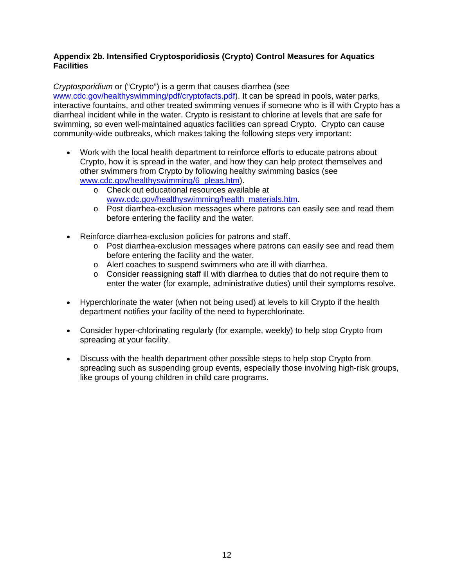## **Appendix 2b. Intensified Cryptosporidiosis (Crypto) Control Measures for Aquatics Facilities**

*Cryptosporidium* or ("Crypto") is a germ that causes diarrhea (see

[www.cdc.gov/healthyswimming/pdf/cryptofacts.pdf](http://www.cdc.gov/healthyswimming/pdf/cryptofacts.pdf)). It can be spread in pools, water parks, interactive fountains, and other treated swimming venues if someone who is ill with Crypto has a diarrheal incident while in the water. Crypto is resistant to chlorine at levels that are safe for swimming, so even well-maintained aquatics facilities can spread Crypto. Crypto can cause community-wide outbreaks, which makes taking the following steps very important:

- Work with the local health department to reinforce efforts to educate patrons about Crypto, how it is spread in the water, and how they can help protect themselves and other swimmers from Crypto by following healthy swimming basics (see [www.cdc.gov/healthyswimming/6\\_pleas.htm](http://www.cdc.gov/healthyswimming/6_pleas.htm)).
	- o Check out educational resources available at [www.cdc.gov/healthyswimming/health\\_materials.htm](http://www.cdc.gov/healthyswimming/health_materials.htm).
	- o Post diarrhea-exclusion messages where patrons can easily see and read them before entering the facility and the water.
- Reinforce diarrhea-exclusion policies for patrons and staff.
	- o Post diarrhea-exclusion messages where patrons can easily see and read them before entering the facility and the water.
	- o Alert coaches to suspend swimmers who are ill with diarrhea.
	- o Consider reassigning staff ill with diarrhea to duties that do not require them to enter the water (for example, administrative duties) until their symptoms resolve.
- Hyperchlorinate the water (when not being used) at levels to kill Crypto if the health department notifies your facility of the need to hyperchlorinate.
- Consider hyper-chlorinating regularly (for example, weekly) to help stop Crypto from spreading at your facility.
- Discuss with the health department other possible steps to help stop Crypto from spreading such as suspending group events, especially those involving high-risk groups, like groups of young children in child care programs.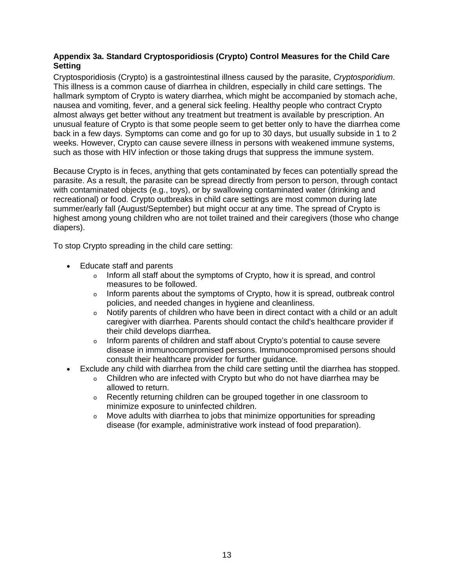## **Appendix 3a. Standard Cryptosporidiosis (Crypto) Control Measures for the Child Care Setting**

Cryptosporidiosis (Crypto) is a gastrointestinal illness caused by the parasite, *Cryptosporidium*. This illness is a common cause of diarrhea in children, especially in child care settings. The hallmark symptom of Crypto is watery diarrhea, which might be accompanied by stomach ache, nausea and vomiting, fever, and a general sick feeling. Healthy people who contract Crypto almost always get better without any treatment but treatment is available by prescription. An unusual feature of Crypto is that some people seem to get better only to have the diarrhea come back in a few days. Symptoms can come and go for up to 30 days, but usually subside in 1 to 2 weeks. However, Crypto can cause severe illness in persons with weakened immune systems, such as those with HIV infection or those taking drugs that suppress the immune system.

Because Crypto is in feces, anything that gets contaminated by feces can potentially spread the parasite. As a result, the parasite can be spread directly from person to person, through contact with contaminated objects (e.g., toys), or by swallowing contaminated water (drinking and recreational) or food. Crypto outbreaks in child care settings are most common during late summer/early fall (August/September) but might occur at any time. The spread of Crypto is highest among young children who are not toilet trained and their caregivers (those who change diapers).

To stop Crypto spreading in the child care setting:

- Educate staff and parents
	- $\circ$  Inform all staff about the symptoms of Crypto, how it is spread, and control measures to be followed.
	- o Inform parents about the symptoms of Crypto, how it is spread, outbreak control policies, and needed changes in hygiene and cleanliness.
	- $\circ$  Notify parents of children who have been in direct contact with a child or an adult caregiver with diarrhea. Parents should contact the child's healthcare provider if their child develops diarrhea.
	- o Inform parents of children and staff about Crypto's potential to cause severe disease in immunocompromised persons. Immunocompromised persons should consult their healthcare provider for further guidance.
- Exclude any child with diarrhea from the child care setting until the diarrhea has stopped.
	- o Children who are infected with Crypto but who do not have diarrhea may be allowed to return.
	- o Recently returning children can be grouped together in one classroom to minimize exposure to uninfected children.
	- o Move adults with diarrhea to jobs that minimize opportunities for spreading disease (for example, administrative work instead of food preparation).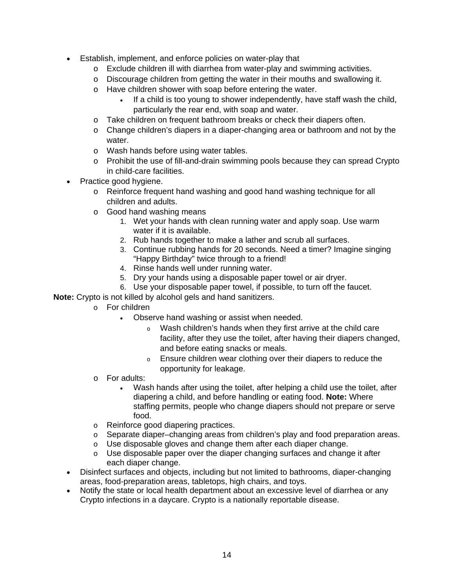- Establish, implement, and enforce policies on water-play that
	- o Exclude children ill with diarrhea from water-play and swimming activities.
	- o Discourage children from getting the water in their mouths and swallowing it.
	- o Have children shower with soap before entering the water.
		- If a child is too young to shower independently, have staff wash the child, particularly the rear end, with soap and water.
	- o Take children on frequent bathroom breaks or check their diapers often.
	- o Change children's diapers in a diaper-changing area or bathroom and not by the water.
	- o Wash hands before using water tables.
	- o Prohibit the use of fill-and-drain swimming pools because they can spread Crypto in child-care facilities.
- Practice good hygiene.
	- o Reinforce frequent hand washing and good hand washing technique for all children and adults.
	- o Good hand washing means
		- 1. Wet your hands with clean running water and apply soap. Use warm water if it is available.
		- 2. Rub hands together to make a lather and scrub all surfaces.
		- 3. Continue rubbing hands for 20 seconds. Need a timer? Imagine singing "Happy Birthday" twice through to a friend!
		- 4. Rinse hands well under running water.
		- 5. Dry your hands using a disposable paper towel or air dryer.
		- 6. Use your disposable paper towel, if possible, to turn off the faucet.

**Note:** Crypto is not killed by alcohol gels and hand sanitizers.

- o For children
	- Observe hand washing or assist when needed.
		- o Wash children's hands when they first arrive at the child care facility, after they use the toilet, after having their diapers changed, and before eating snacks or meals.
		- o Ensure children wear clothing over their diapers to reduce the opportunity for leakage.
- o For adults:
	- Wash hands after using the toilet, after helping a child use the toilet, after diapering a child, and before handling or eating food. **Note:** Where staffing permits, people who change diapers should not prepare or serve food.
- o Reinforce good diapering practices.
- o Separate diaper–changing areas from children's play and food preparation areas.
- o Use disposable gloves and change them after each diaper change.
- o Use disposable paper over the diaper changing surfaces and change it after each diaper change.
- Disinfect surfaces and objects, including but not limited to bathrooms, diaper-changing areas, food-preparation areas, tabletops, high chairs, and toys.
- Notify the state or local health department about an excessive level of diarrhea or any Crypto infections in a daycare. Crypto is a nationally reportable disease.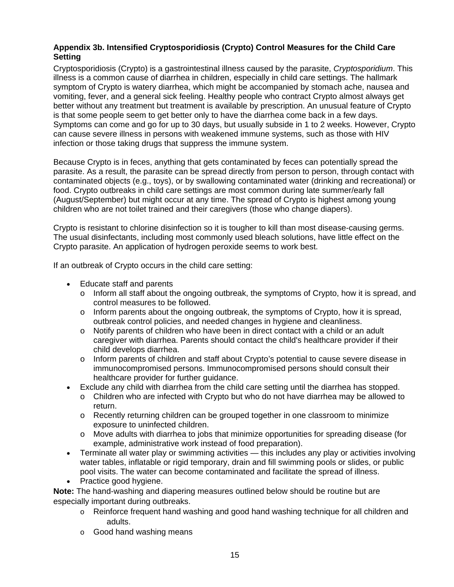## **Appendix 3b. Intensified Cryptosporidiosis (Crypto) Control Measures for the Child Care Setting**

Cryptosporidiosis (Crypto) is a gastrointestinal illness caused by the parasite, *Cryptosporidium*. This illness is a common cause of diarrhea in children, especially in child care settings. The hallmark symptom of Crypto is watery diarrhea, which might be accompanied by stomach ache, nausea and vomiting, fever, and a general sick feeling. Healthy people who contract Crypto almost always get better without any treatment but treatment is available by prescription. An unusual feature of Crypto is that some people seem to get better only to have the diarrhea come back in a few days. Symptoms can come and go for up to 30 days, but usually subside in 1 to 2 weeks. However, Crypto can cause severe illness in persons with weakened immune systems, such as those with HIV infection or those taking drugs that suppress the immune system.

Because Crypto is in feces, anything that gets contaminated by feces can potentially spread the parasite. As a result, the parasite can be spread directly from person to person, through contact with contaminated objects (e.g., toys), or by swallowing contaminated water (drinking and recreational) or food. Crypto outbreaks in child care settings are most common during late summer/early fall (August/September) but might occur at any time. The spread of Crypto is highest among young children who are not toilet trained and their caregivers (those who change diapers).

Crypto is resistant to chlorine disinfection so it is tougher to kill than most disease-causing germs. The usual disinfectants, including most commonly used bleach solutions, have little effect on the Crypto parasite. An application of hydrogen peroxide seems to work best.

If an outbreak of Crypto occurs in the child care setting:

- Educate staff and parents
	- $\circ$  Inform all staff about the ongoing outbreak, the symptoms of Crypto, how it is spread, and control measures to be followed.
	- $\circ$  Inform parents about the ongoing outbreak, the symptoms of Crypto, how it is spread, outbreak control policies, and needed changes in hygiene and cleanliness.
	- $\circ$  Notify parents of children who have been in direct contact with a child or an adult caregiver with diarrhea. Parents should contact the child's healthcare provider if their child develops diarrhea.
	- o Inform parents of children and staff about Crypto's potential to cause severe disease in immunocompromised persons. Immunocompromised persons should consult their healthcare provider for further guidance.
- Exclude any child with diarrhea from the child care setting until the diarrhea has stopped.
	- o Children who are infected with Crypto but who do not have diarrhea may be allowed to return.
	- o Recently returning children can be grouped together in one classroom to minimize exposure to uninfected children.
	- o Move adults with diarrhea to jobs that minimize opportunities for spreading disease (for example, administrative work instead of food preparation).
- Terminate all water play or swimming activities this includes any play or activities involving water tables, inflatable or rigid temporary, drain and fill swimming pools or slides, or public pool visits. The water can become contaminated and facilitate the spread of illness.
- Practice good hygiene.

**Note:** The hand-washing and diapering measures outlined below should be routine but are especially important during outbreaks.

- o Reinforce frequent hand washing and good hand washing technique for all children and adults.
- o Good hand washing means